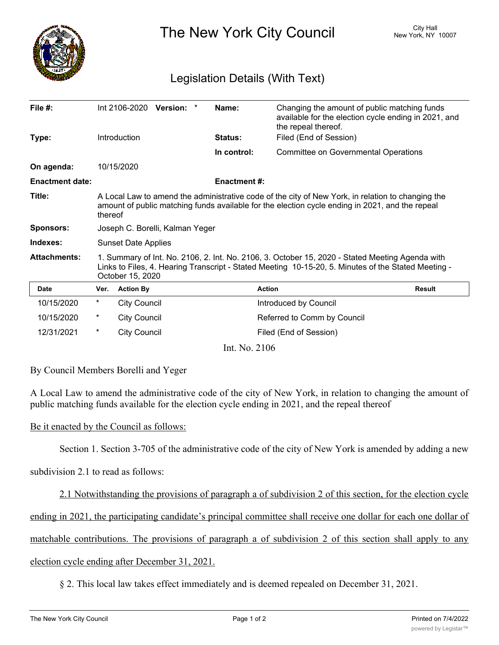

The New York City Council New York, NY 10007

## Legislation Details (With Text)

| File $#$ :             |                                                                                                                                                                                                                            | Int 2106-2020 Version: |  |  | Name:              | Changing the amount of public matching funds<br>available for the election cycle ending in 2021, and<br>the repeal thereof. |               |
|------------------------|----------------------------------------------------------------------------------------------------------------------------------------------------------------------------------------------------------------------------|------------------------|--|--|--------------------|-----------------------------------------------------------------------------------------------------------------------------|---------------|
| Type:                  |                                                                                                                                                                                                                            | Introduction           |  |  | <b>Status:</b>     | Filed (End of Session)                                                                                                      |               |
|                        |                                                                                                                                                                                                                            |                        |  |  | In control:        | <b>Committee on Governmental Operations</b>                                                                                 |               |
| On agenda:             |                                                                                                                                                                                                                            | 10/15/2020             |  |  |                    |                                                                                                                             |               |
| <b>Enactment date:</b> |                                                                                                                                                                                                                            |                        |  |  | <b>Enactment#:</b> |                                                                                                                             |               |
| Title:                 | A Local Law to amend the administrative code of the city of New York, in relation to changing the<br>amount of public matching funds available for the election cycle ending in 2021, and the repeal<br>thereof            |                        |  |  |                    |                                                                                                                             |               |
| <b>Sponsors:</b>       | Joseph C. Borelli, Kalman Yeger                                                                                                                                                                                            |                        |  |  |                    |                                                                                                                             |               |
| Indexes:               | <b>Sunset Date Applies</b>                                                                                                                                                                                                 |                        |  |  |                    |                                                                                                                             |               |
| <b>Attachments:</b>    | 1. Summary of Int. No. 2106, 2. Int. No. 2106, 3. October 15, 2020 - Stated Meeting Agenda with<br>Links to Files, 4. Hearing Transcript - Stated Meeting 10-15-20, 5. Minutes of the Stated Meeting -<br>October 15, 2020 |                        |  |  |                    |                                                                                                                             |               |
| <b>Date</b>            | Ver.                                                                                                                                                                                                                       | <b>Action By</b>       |  |  |                    | <b>Action</b>                                                                                                               | <b>Result</b> |
| 10/15/2020             | $^\star$                                                                                                                                                                                                                   | <b>City Council</b>    |  |  |                    | Introduced by Council                                                                                                       |               |
| 10/15/2020             | $^\star$                                                                                                                                                                                                                   | <b>City Council</b>    |  |  |                    | Referred to Comm by Council                                                                                                 |               |
| 12/31/2021             | $^\star$                                                                                                                                                                                                                   | <b>City Council</b>    |  |  |                    | Filed (End of Session)                                                                                                      |               |
| Int. No. 2106          |                                                                                                                                                                                                                            |                        |  |  |                    |                                                                                                                             |               |

By Council Members Borelli and Yeger

A Local Law to amend the administrative code of the city of New York, in relation to changing the amount of public matching funds available for the election cycle ending in 2021, and the repeal thereof

Be it enacted by the Council as follows:

Section 1. Section 3-705 of the administrative code of the city of New York is amended by adding a new

subdivision 2.1 to read as follows:

2.1 Notwithstanding the provisions of paragraph a of subdivision 2 of this section, for the election cycle ending in 2021, the participating candidate's principal committee shall receive one dollar for each one dollar of matchable contributions. The provisions of paragraph a of subdivision 2 of this section shall apply to any election cycle ending after December 31, 2021.

§ 2. This local law takes effect immediately and is deemed repealed on December 31, 2021.